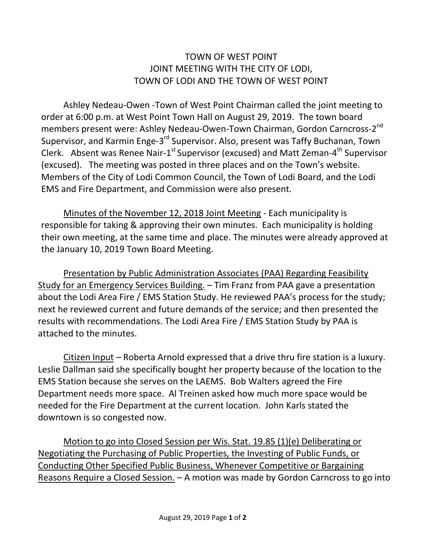## TOWN OF WEST POINT JOINT MEETING WITH THE CITY OF LODI, TOWN OF LODI AND THE TOWN OF WEST POINT

Ashley Nedeau-Owen -Town of West Point Chairman called the joint meeting to order at 6:00 p.m. at West Point Town Hall on August 29, 2019. The town board members present were: Ashley Nedeau-Owen-Town Chairman, Gordon Carncross-2<sup>nd</sup> Supervisor, and Karmin Enge-3<sup>rd</sup> Supervisor. Also, present was Taffy Buchanan, Town Clerk. Absent was Renee Nair-1<sup>st</sup> Supervisor (excused) and Matt Zeman-4<sup>th</sup> Supervisor (excused). The meeting was posted in three places and on the Town's website. Members of the City of Lodi Common Council, the Town of Lodi Board, and the Lodi EMS and Fire Department, and Commission were also present.

Minutes of the November 12, 2018 Joint Meeting - Each municipality is responsible for taking & approving their own minutes. Each municipality is holding their own meeting, at the same time and place. The minutes were already approved at the January 10, 2019 Town Board Meeting.

Presentation by Public Administration Associates (PAA) Regarding Feasibility Study for an Emergency Services Building. – Tim Franz from PAA gave a presentation about the Lodi Area Fire / EMS Station Study. He reviewed PAA's process for the study; next he reviewed current and future demands of the service; and then presented the results with recommendations. The Lodi Area Fire / EMS Station Study by PAA is attached to the minutes.

Citizen Input – Roberta Arnold expressed that a drive thru fire station is a luxury. Leslie Dallman said she specifically bought her property because of the location to the EMS Station because she serves on the LAEMS. Bob Walters agreed the Fire Department needs more space. Al Treinen asked how much more space would be needed for the Fire Department at the current location. John Karls stated the downtown is so congested now.

Motion to go into Closed Session per Wis. Stat. 19.85 (1)(e) Deliberating or Negotiating the Purchasing of Public Properties, the Investing of Public Funds, or Conducting Other Specified Public Business, Whenever Competitive or Bargaining Reasons Require a Closed Session. – A motion was made by Gordon Carncross to go into